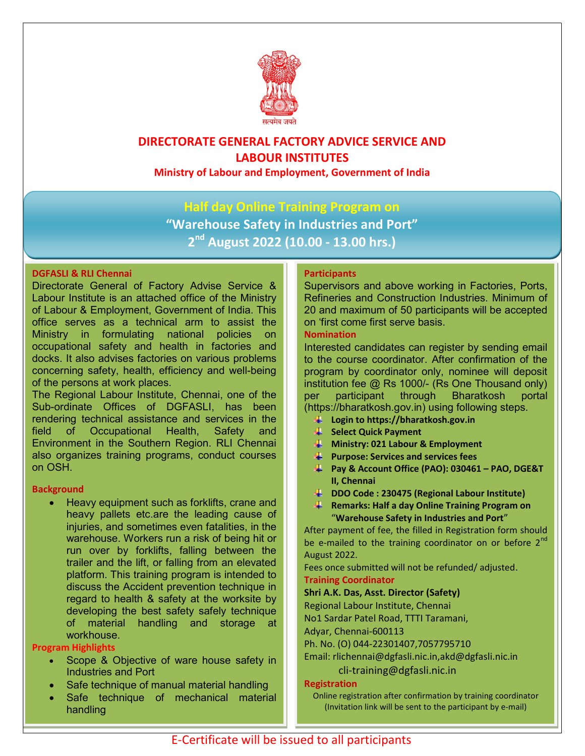

# DIRECTORATE GENERAL FACTORY ADVICE SERVICE AND LABOUR INSTITUTES

Ministry of Labour and Employment, Government of India

## Half day Online Training Program on

"Warehouse Safety in Industries and Port" 2<sup>nd</sup> August 2022 (10.00 - 13.00 hrs.)

### DGFASLI & RLI Chennai

Directorate General of Factory Advise Service & Labour Institute is an attached office of the Ministry of Labour & Employment, Government of India. This office serves as a technical arm to assist the Ministry in formulating national policies on occupational safety and health in factories and docks. It also advises factories on various problems concerning safety, health, efficiency and well-being of the persons at work places.

The Regional Labour Institute, Chennai, one of the Sub-ordinate Offices of DGFASLI, has been rendering technical assistance and services in the field of Occupational Health, Safety and Environment in the Southern Region. RLI Chennai also organizes training programs, conduct courses on OSH.

#### **Background**

 Heavy equipment such as forklifts, crane and heavy pallets etc.are the leading cause of injuries, and sometimes even fatalities, in the warehouse. Workers run a risk of being hit or run over by forklifts, falling between the trailer and the lift, or falling from an elevated platform. This training program is intended to discuss the Accident prevention technique in regard to health & safety at the worksite by developing the best safety safely technique of material handling and storage at workhouse.

#### Program Highlights

- Scope & Objective of ware house safety in Industries and Port
- Safe technique of manual material handling
- Safe technique of mechanical material handling

#### **Participants**

Supervisors and above working in Factories, Ports, Refineries and Construction Industries. Minimum of 20 and maximum of 50 participants will be accepted on 'first come first serve basis.

#### Nomination

Interested candidates can register by sending email to the course coordinator. After confirmation of the program by coordinator only, nominee will deposit institution fee @ Rs 1000/- (Rs One Thousand only) per participant through Bharatkosh portal (https://bharatkosh.gov.in) using following steps.

- Login to https://bharatkosh.gov.in
- Select Quick Payment
- $\frac{1}{2}$  Ministry: 021 Labour & Employment
- $\mathbf{\downarrow}$  Purpose: Services and services fees
- Pay & Account Office (PAO): 030461 PAO, DGE&T II, Chennai
- DDO Code : 230475 (Regional Labour Institute)
- **Remarks: Half a day Online Training Program on** "Warehouse Safety in Industries and Port"

After payment of fee, the filled in Registration form should be e-mailed to the training coordinator on or before  $2<sup>nd</sup>$ August 2022.

Fees once submitted will not be refunded/ adjusted. Training Coordinator

#### Shri A.K. Das, Asst. Director (Safety)

Regional Labour Institute, Chennai

No1 Sardar Patel Road, TTTI Taramani,

Adyar, Chennai-600113

Ph. No. (O) 044-22301407,7057795710

Email: rlichennai@dgfasli.nic.in,akd@dgfasli.nic.in

#### cli-training@dgfasli.nic.in

#### Registration

Online registration after confirmation by training coordinator (Invitation link will be sent to the participant by e-mail)